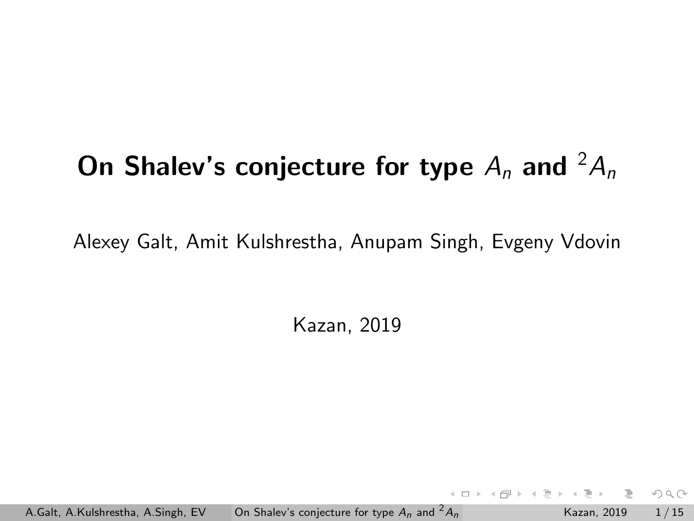# <span id="page-0-0"></span>On Shalev's conjecture for type  $A_n$  and  ${}^2A_n$

Alexey Galt, Amit Kulshrestha, Anupam Singh, Evgeny Vdovin

Kazan, 2019

A.Galt, A.Kulshrestha, A.Singh, EV [On Shalev's conjecture for type](#page-43-0)  $A_n$  and  ${}^2A_n$  Kazan, 2019 1/15

 $OQ$ 

イロト イ母ト イヨト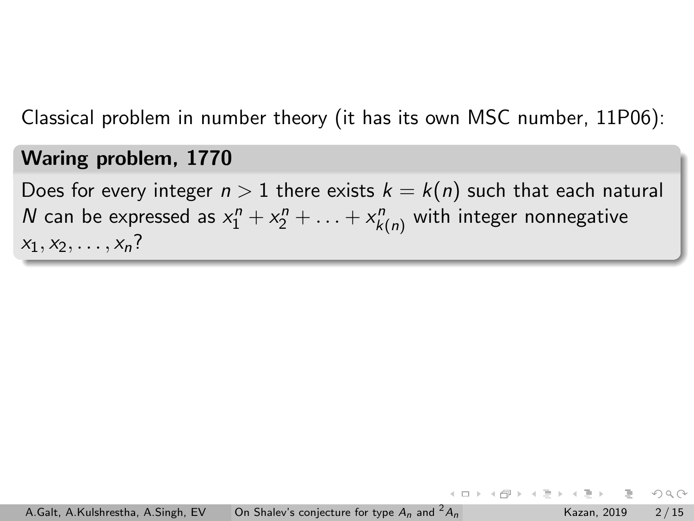## Waring problem, 1770

Does for every integer  $n > 1$  there exists  $k = k(n)$  such that each natural N can be expressed as  $x_1^n + x_2^n + \ldots + x_{k(n)}^n$  with integer nonnegative  $x_1, x_2, \ldots, x_n?$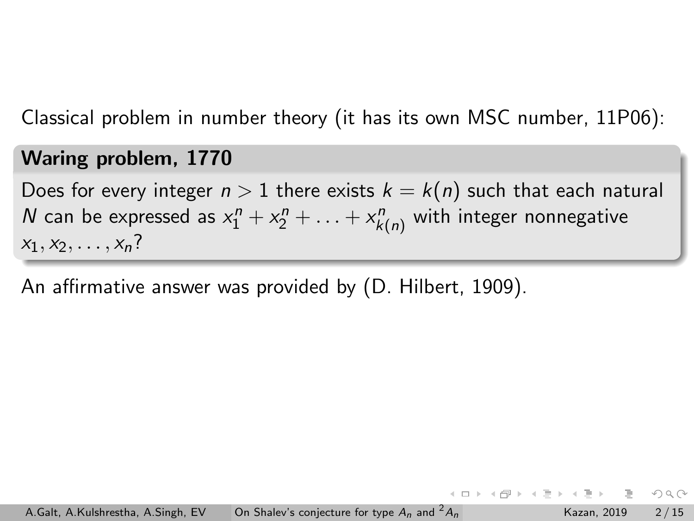## Waring problem, 1770

Does for every integer  $n > 1$  there exists  $k = k(n)$  such that each natural N can be expressed as  $x_1^n + x_2^n + \ldots + x_{k(n)}^n$  with integer nonnegative  $x_1, x_2, \ldots, x_n?$ 

An affirmative answer was provided by (D. Hilbert, 1909).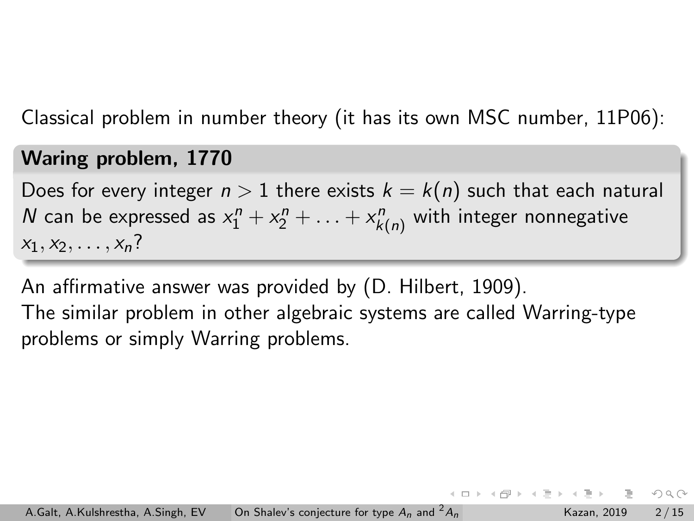# Waring problem, 1770

Does for every integer  $n > 1$  there exists  $k = k(n)$  such that each natural N can be expressed as  $x_1^n + x_2^n + \ldots + x_{k(n)}^n$  with integer nonnegative  $x_1, x_2, \ldots, x_n?$ 

An affirmative answer was provided by (D. Hilbert, 1909). The similar problem in other algebraic systems are called Warring-type problems or simply Warring problems.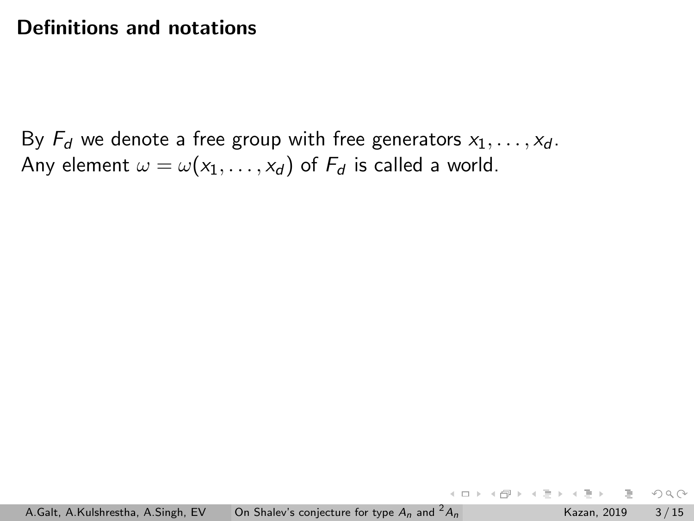By  $F_d$  we denote a free group with free generators  $x_1, \ldots, x_d$ . Any element  $\omega = \omega(x_1, \ldots, x_d)$  of  $F_d$  is called a world.

イロト イ母 トイミト イヨト ニヨー りんぐ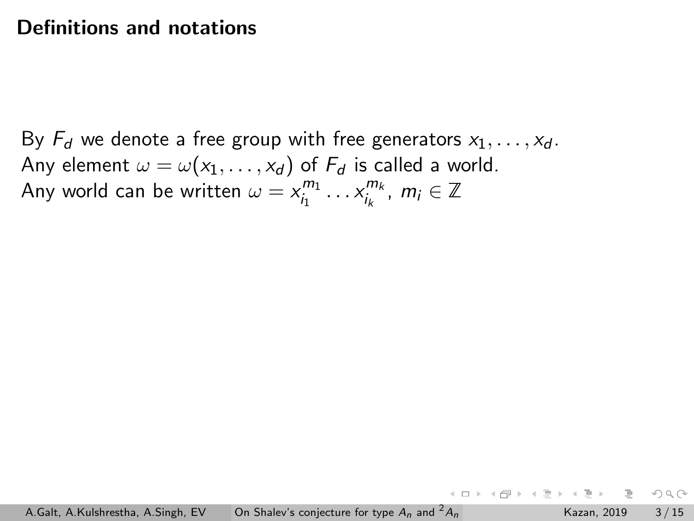By  $F_d$  we denote a free group with free generators  $x_1, \ldots, x_d$ . Any element  $\omega = \omega(x_1, \ldots, x_d)$  of  $F_d$  is called a world. Any world can be written  $\omega = x_i^{m_1}$  $x_{i_1}^{m_1} \ldots x_{i_k}^{m_k}$  $\zeta_{i_k}^{m_k}$ ,  $m_i \in \mathbb{Z}$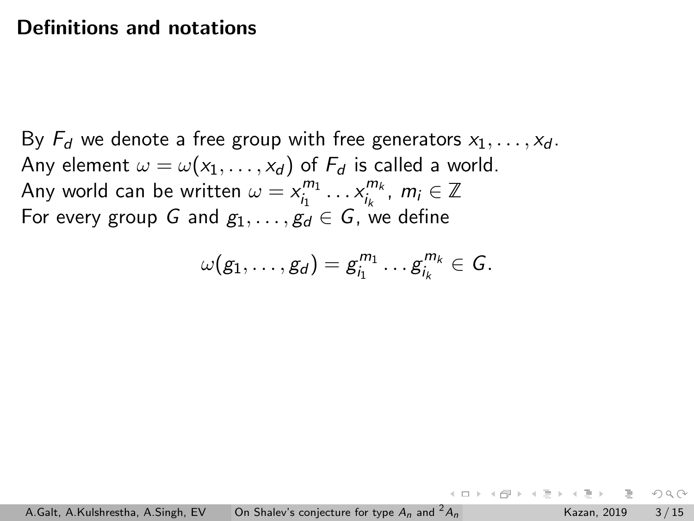By  $F_d$  we denote a free group with free generators  $x_1, \ldots, x_d$ . Any element  $\omega = \omega(x_1, \ldots, x_d)$  of  $F_d$  is called a world. Any world can be written  $\omega = x_i^{m_1}$  $x_{i_1}^{m_1} \ldots x_{i_k}^{m_k}$  $\zeta_{i_k}^{m_k}$ ,  $m_i \in \mathbb{Z}$ For every group G and  $g_1, \ldots, g_d \in G$ , we define

$$
\omega(g_1,\ldots,g_d)=g_{i_1}^{m_1}\ldots g_{i_k}^{m_k}\in G.
$$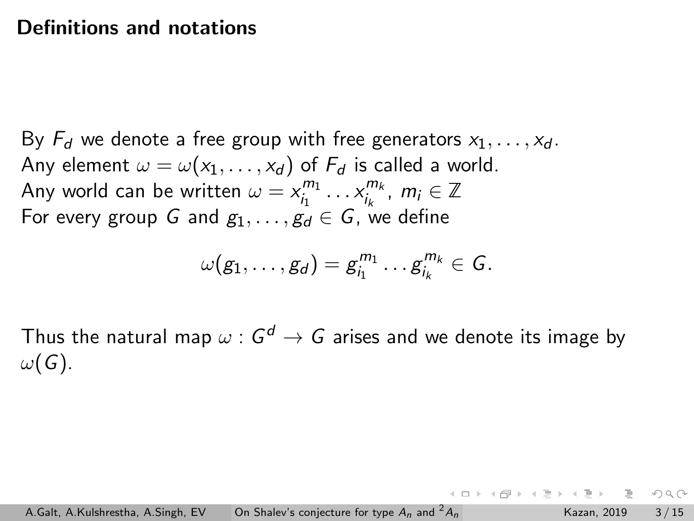By  $F_d$  we denote a free group with free generators  $x_1, \ldots, x_d$ . Any element  $\omega = \omega(x_1, \ldots, x_d)$  of  $F_d$  is called a world. Any world can be written  $\omega = x_i^{m_1}$  $x_{i_1}^{m_1} \ldots x_{i_k}^{m_k}$  $\zeta_{i_k}^{m_k}$ ,  $m_i \in \mathbb{Z}$ For every group G and  $g_1, \ldots, g_d \in G$ , we define

$$
\omega(g_1,\ldots,g_d)=g_{i_1}^{m_1}\ldots g_{i_k}^{m_k}\in G.
$$

Thus the natural map  $\omega:G^{d}\rightarrow G$  arises and we denote its image by  $\omega(G)$ .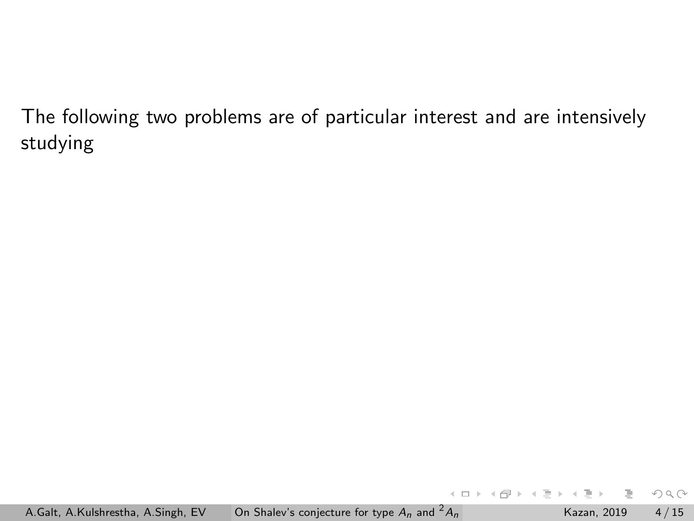The following two problems are of particular interest and are intensively studying

 $4$  ロ }  $4$  何 }  $4$  子 }  $4$ 

 $\bar{a}$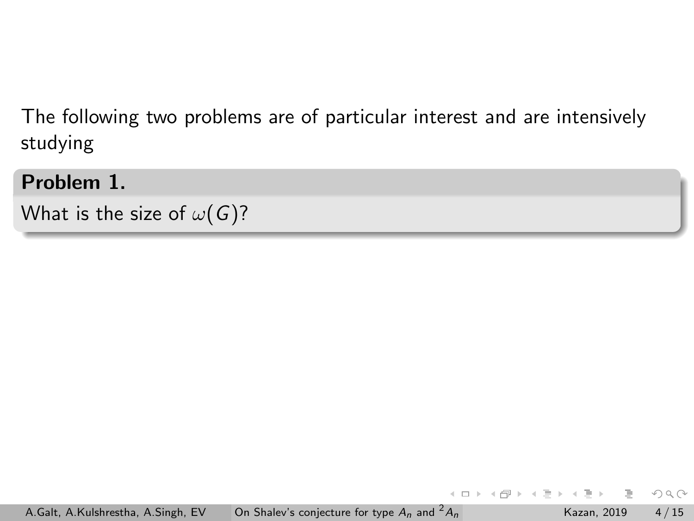The following two problems are of particular interest and are intensively studying

## Problem 1.

What is the size of  $\omega(G)$ ?

 $OQ$ 

 $\leftarrow$   $\Box$   $\rightarrow$   $\leftarrow$   $\Box$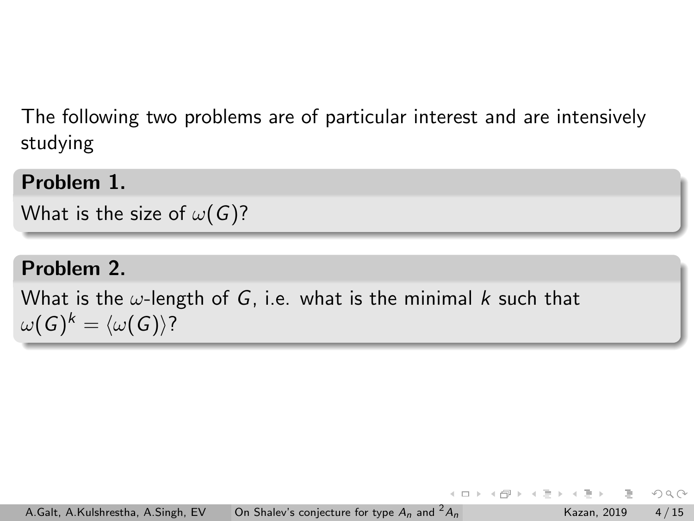The following two problems are of particular interest and are intensively studying

## Problem 1.

What is the size of  $\omega(G)$ ?

## Problem 2.

What is the  $\omega$ -length of G, i.e. what is the minimal k such that  $\omega(\mathsf{G})^k = \langle \omega(\mathsf{G}) \rangle$ ?

A.Galt, A.Kulshrestha, A.Singh, EV [On Shalev's conjecture for type](#page-0-0)  $A_n$  and  ${}^2A_n$  Kazan, 2019 4/15

 $OQ$ 

( □ ) ( <sup>□</sup> )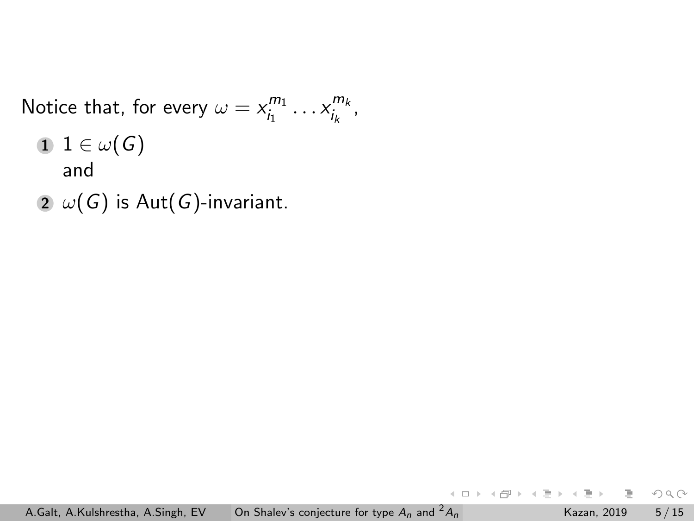Notice that, for every  $\omega = x_{i_1}^{m_1}$  $x_{i_1}^{m_1} \ldots x_{i_k}^{m_k}$  $i_k^{\prime\prime k}$ 

- 1 1  $\in \omega(G)$ and
- 2  $\omega(G)$  is Aut(G)-invariant.

 $OQ$ 

イロト イ母ト イミト イミト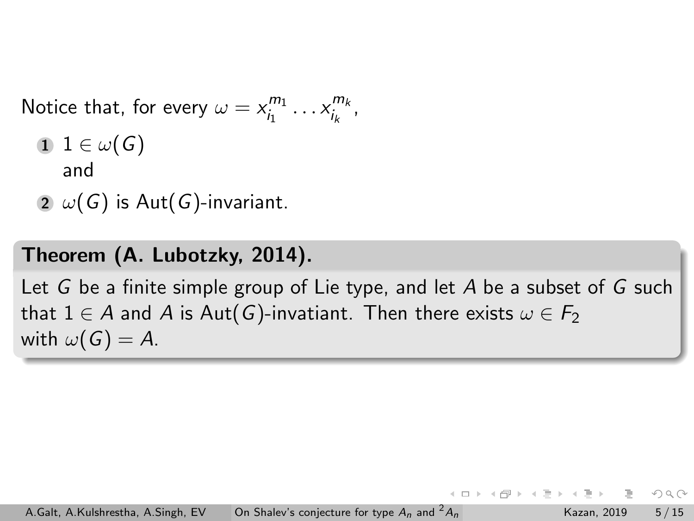Notice that, for every  $\omega = x_{i_1}^{m_1}$  $x_{i_1}^{m_1} \ldots x_{i_k}^{m_k}$  $i_k^{\prime\prime k}$ 

- 1 1  $\in \omega(G)$ and
- 2  $\omega(G)$  is Aut(G)-invariant.

# Theorem (A. Lubotzky, 2014).

Let G be a finite simple group of Lie type, and let A be a subset of G such that  $1 \in A$  and A is Aut(G)-invatiant. Then there exists  $\omega \in F_2$ with  $\omega(G) = A$ .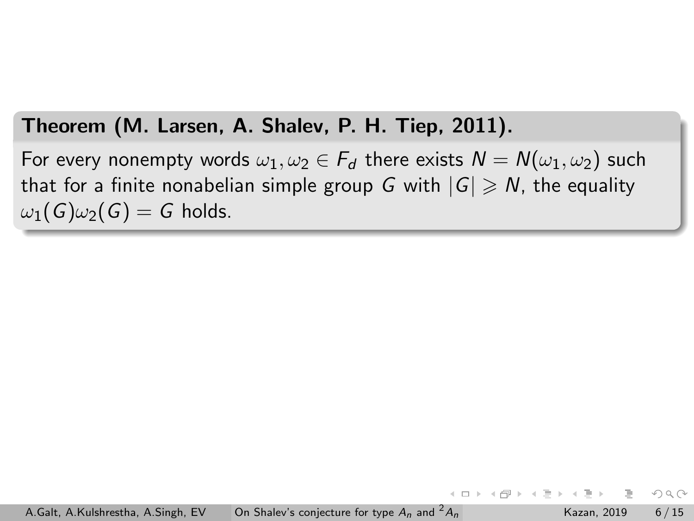### Theorem (M. Larsen, A. Shalev, P. H. Tiep, 2011).

For every nonempty words  $\omega_1, \omega_2 \in F_d$  there exists  $N = N(\omega_1, \omega_2)$  such that for a finite nonabelian simple group G with  $|G| \geq N$ , the equality  $\omega_1(G)\omega_2(G) = G$  holds.

 $OQ$ 

 $\leftarrow$   $\Box$   $\rightarrow$   $\leftarrow$   $\leftarrow$   $\Box$   $\rightarrow$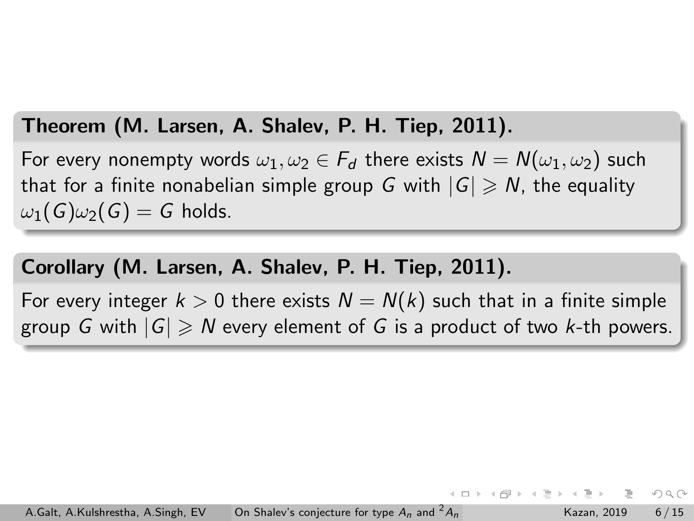#### Theorem (M. Larsen, A. Shalev, P. H. Tiep, 2011).

For every nonempty words  $\omega_1, \omega_2 \in F_d$  there exists  $N = N(\omega_1, \omega_2)$  such that for a finite nonabelian simple group G with  $|G| \geq N$ , the equality  $\omega_1(G)\omega_2(G) = G$  holds.

## Corollary (M. Larsen, A. Shalev, P. H. Tiep, 2011).

For every integer  $k > 0$  there exists  $N = N(k)$  such that in a finite simple group G with  $|G| \ge N$  every element of G is a product of two k-th powers.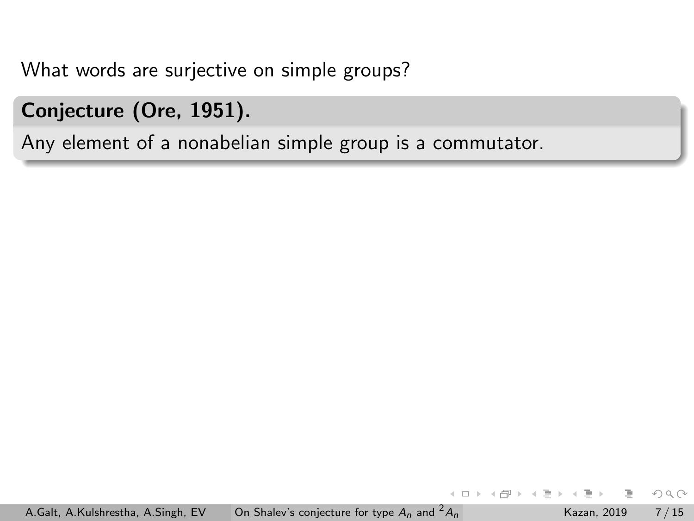Conjecture (Ore, 1951).

Any element of a nonabelian simple group is a commutator.

( □ ) ( / <sup>□</sup> )

目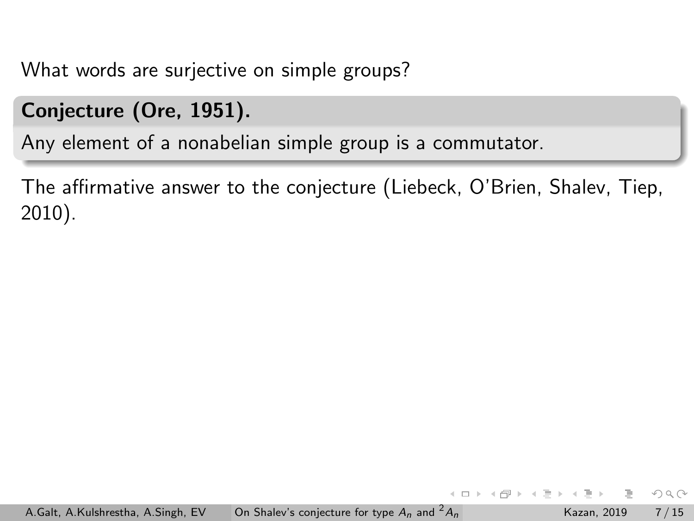Conjecture (Ore, 1951).

Any element of a nonabelian simple group is a commutator.

The affirmative answer to the conjecture (Liebeck, O'Brien, Shalev, Tiep, 2010).

← □ ▶ ⊣ <sup>□</sup> ▶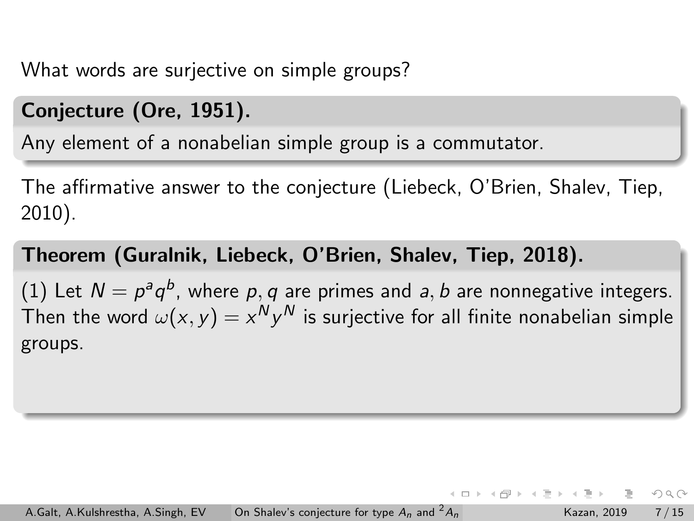Conjecture (Ore, 1951).

Any element of a nonabelian simple group is a commutator.

The affirmative answer to the conjecture (Liebeck, O'Brien, Shalev, Tiep, 2010).

Theorem (Guralnik, Liebeck, O'Brien, Shalev, Tiep, 2018).

(1) Let  $N = p^a q^b$ , where p, q are primes and a, b are nonnegative integers. Then the word  $\omega(x,y) = x^N y^N$  is surjective for all finite nonabelian simple groups.

←ロト ←何ト ←ヨト ←ヨト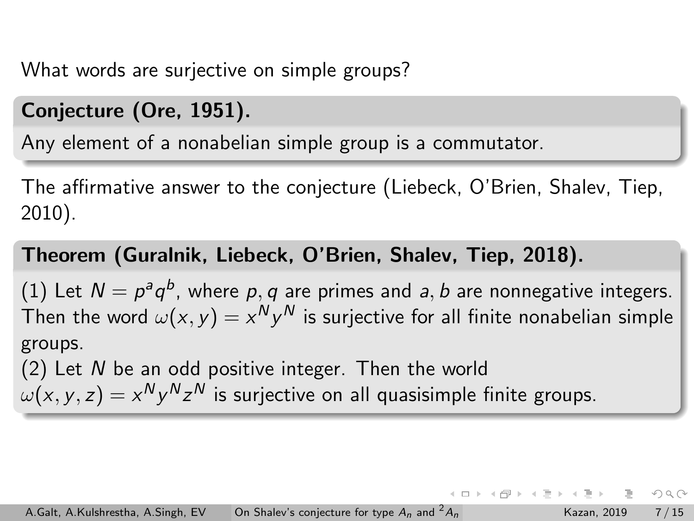Conjecture (Ore, 1951).

Any element of a nonabelian simple group is a commutator.

The affirmative answer to the conjecture (Liebeck, O'Brien, Shalev, Tiep, 2010).

Theorem (Guralnik, Liebeck, O'Brien, Shalev, Tiep, 2018).

(1) Let  $N = p^a q^b$ , where p, q are primes and a, b are nonnegative integers. Then the word  $\omega(x,y) = x^N y^N$  is surjective for all finite nonabelian simple groups.

(2) Let N be an odd positive integer. Then the world  $\omega(x,y,z) = x^N y^N z^N$  is surjective on all quasisimple finite groups.

 $OQ$ 

 $\left\{ \begin{array}{ccc} \pm & \pm & \pm \end{array} \right.$  and  $\left\{ \begin{array}{ccc} \pm & \pm & \pm \end{array} \right.$  and  $\left\{ \begin{array}{ccc} \pm & \pm & \pm \end{array} \right.$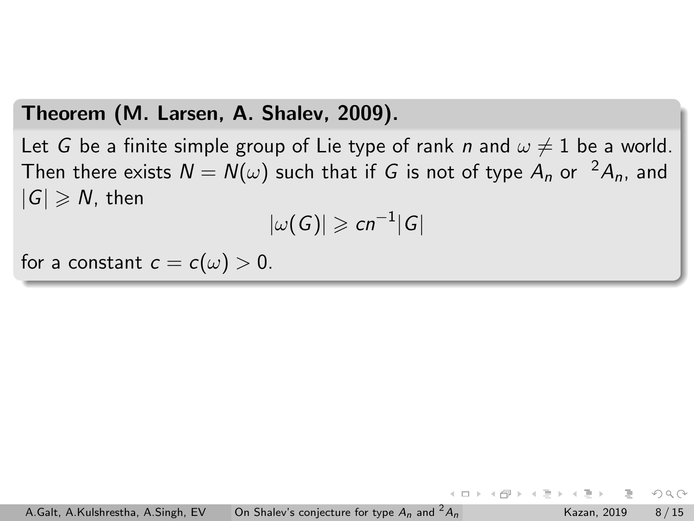## Theorem (M. Larsen, A. Shalev, 2009).

Let G be a finite simple group of Lie type of rank n and  $\omega \neq 1$  be a world. Then there exists  $N = N(\omega)$  such that if G is not of type  $A_n$  or  ${}^2A_n$ , and  $|G| \geqslant N$ , then

 $|\omega(G)| \geqslant cn^{-1}|G|$ 

for a constant  $c = c(\omega) > 0$ .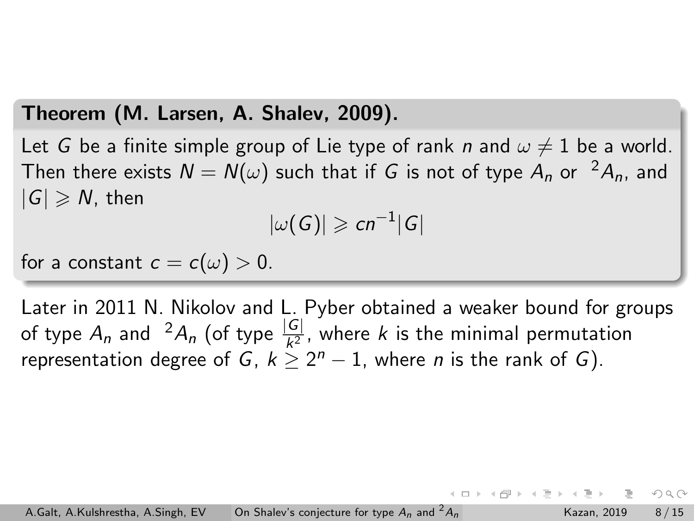## Theorem (M. Larsen, A. Shalev, 2009).

Let G be a finite simple group of Lie type of rank n and  $\omega \neq 1$  be a world. Then there exists  $N = N(\omega)$  such that if G is not of type  $A_n$  or  ${}^2A_n$ , and  $|G| \geqslant N$ , then

 $|\omega(G)| \geqslant cn^{-1}|G|$ 

for a constant  $c = c(\omega) > 0$ .

Later in 2011 N. Nikolov and L. Pyber obtained a weaker bound for groups of type  $A_n$  and  ${}^2A_n$  (of type  $\frac{|G|}{k^2}$ , where k is the minimal permutation representation degree of G,  $k \geq 2^n-1$ , where  $n$  is the rank of G).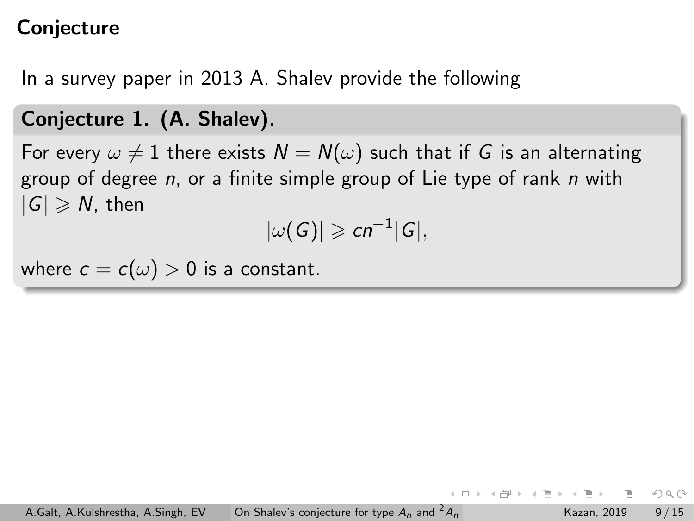## **Conjecture**

In a survey paper in 2013 A. Shalev provide the following

# Conjecture 1. (A. Shalev).

For every  $\omega \neq 1$  there exists  $N = N(\omega)$  such that if G is an alternating group of degree  $n$ , or a finite simple group of Lie type of rank  $n$  with  $|G| \geqslant N$ , then

$$
|\omega(G)|\geqslant cn^{-1}|G|,
$$

where  $c = c(\omega) > 0$  is a constant.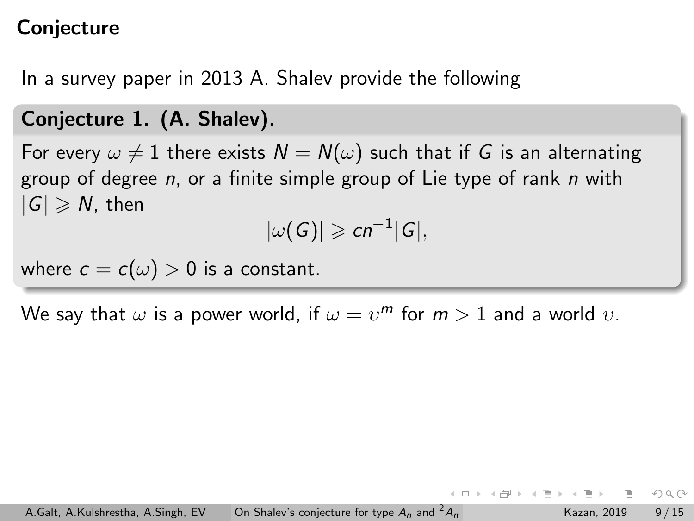## **Conjecture**

In a survey paper in 2013 A. Shalev provide the following

# Conjecture 1. (A. Shalev).

For every  $\omega \neq 1$  there exists  $N = N(\omega)$  such that if G is an alternating group of degree  $n$ , or a finite simple group of Lie type of rank  $n$  with  $|G| \geqslant N$ , then

$$
|\omega(G)|\geqslant cn^{-1}|G|,
$$

where  $c = c(\omega) > 0$  is a constant.

We say that  $\omega$  is a power world, if  $\omega = \upsilon^m$  for  $m > 1$  and a world  $\upsilon.$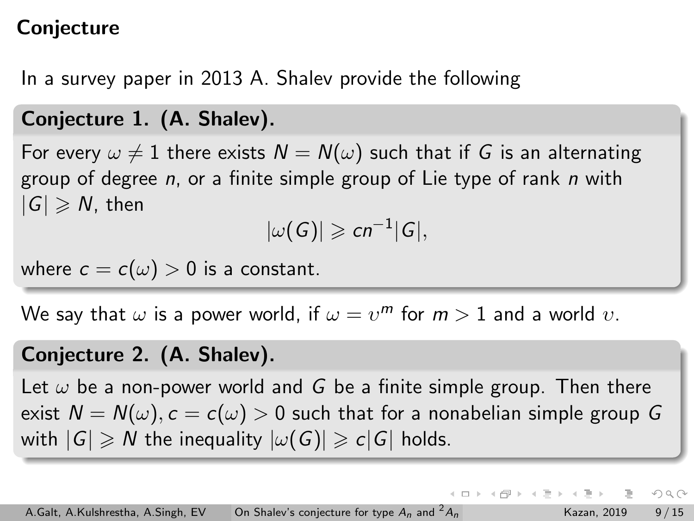## **Conjecture**

In a survey paper in 2013 A. Shalev provide the following

# Conjecture 1. (A. Shalev).

For every  $\omega \neq 1$  there exists  $N = N(\omega)$  such that if G is an alternating group of degree  $n$ , or a finite simple group of Lie type of rank  $n$  with  $|G| \geqslant N$ , then

$$
|\omega(G)|\geqslant cn^{-1}|G|,
$$

where  $c = c(\omega) > 0$  is a constant.

We say that  $\omega$  is a power world, if  $\omega = \upsilon^m$  for  $m > 1$  and a world  $\upsilon.$ 

## Conjecture 2. (A. Shalev).

Let  $\omega$  be a non-power world and G be a finite simple group. Then there exist  $N = N(\omega)$ ,  $c = c(\omega) > 0$  such that for a nonabelian simple group G with  $|G| \geq N$  the inequality  $|\omega(G)| \geq c|G|$  holds.

 $OQ$ 

イロト イ押 トイヨ トイヨト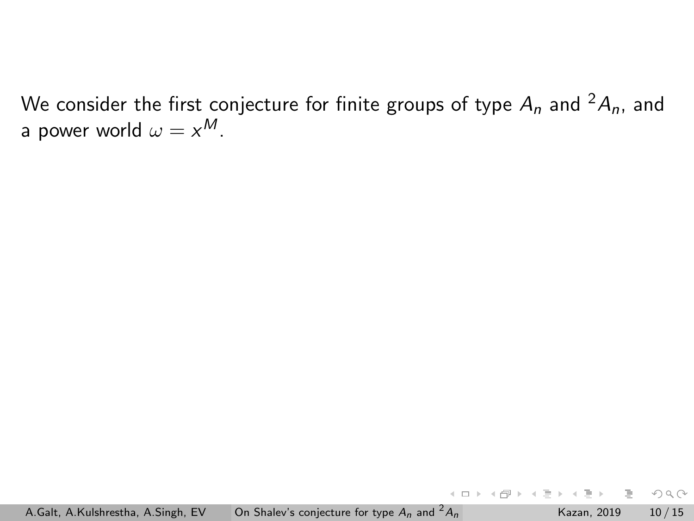We consider the first conjecture for finite groups of type  $A_n$  and  ${}^2A_n$ , and a power world  $\omega = x^M$ .

 $\mathcal{A} \equiv \mathcal{V} \quad \mathcal{A} \stackrel{\text{def}}{\iff} \mathcal{V} \quad \mathcal{A} \stackrel{\text{def}}{\iff} \mathcal{V}$ 

 $\equiv$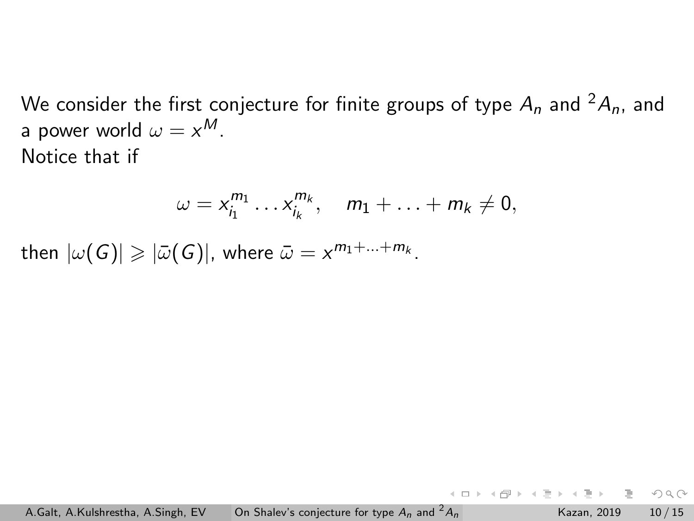We consider the first conjecture for finite groups of type  $A_n$  and  ${}^2A_n$ , and a power world  $\omega = x^M$ . Notice that if

$$
\omega=x_{i_1}^{m_1}\ldots x_{i_k}^{m_k},\quad m_1+\ldots+m_k\neq 0,
$$

then  $|\omega(G)| \geqslant |\bar{\omega}(G)|$ , where  $\bar{\omega} = x^{m_1 + ... + m_k}$ .

 $OQ$ 

 $\equiv$ 

イロト イ母ト イヨト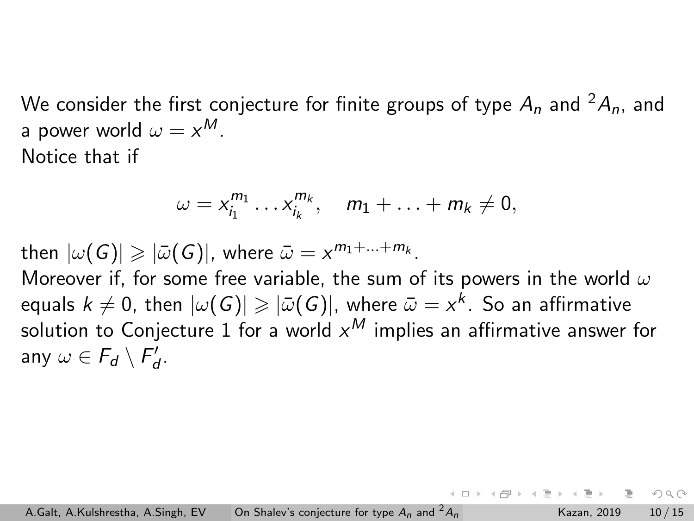We consider the first conjecture for finite groups of type  $A_n$  and  ${}^2A_n$ , and a power world  $\omega = x^M$ . Notice that if

$$
\omega=x_{i_1}^{m_1}\ldots x_{i_k}^{m_k},\quad m_1+\ldots+m_k\neq 0,
$$

then  $|\omega(G)| \geqslant |\bar{\omega}(G)|$ , where  $\bar{\omega} = x^{m_1 + ... + m_k}$ . Moreover if, for some free variable, the sum of its powers in the world  $\omega$ equals  $k\neq 0$ , then  $|\omega(G)|\geqslant |\bar{\omega}(G)|$ , where  $\bar{\omega}=x^k.$  So an affirmative solution to Conjecture 1 for a world  $\mathsf{x}^{\mathsf{M}}$  implies an affirmative answer for any  $\omega \in F_d \setminus F'_d$ .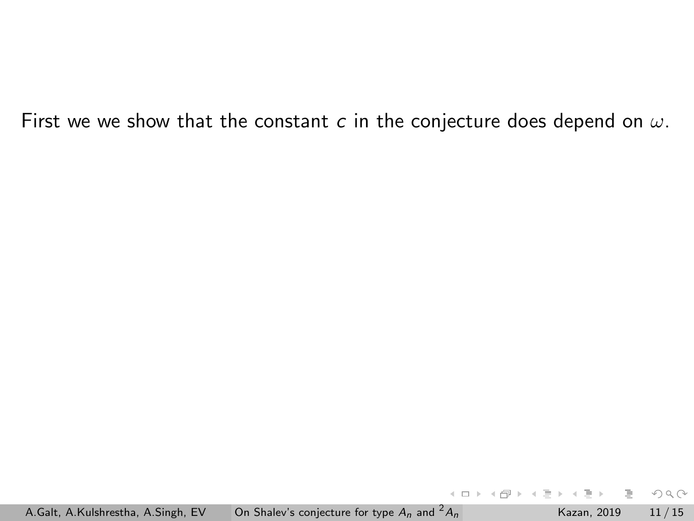First we we show that the constant c in the conjecture does depend on  $\omega$ .

 $\equiv$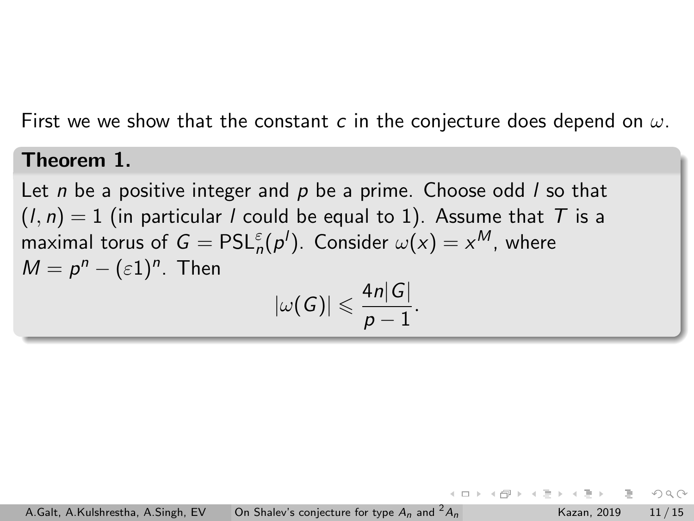First we we show that the constant c in the conjecture does depend on  $\omega$ .

### Theorem 1.

Let n be a positive integer and  $p$  be a prime. Choose odd  $l$  so that  $(l, n) = 1$  (in particular *l* could be equal to 1). Assume that T is a maximal torus of  $G=\mathsf{PSL}_n^\varepsilon(p^l).$  Consider  $\omega(x)=x^M$ , where  $M = p^n - (\varepsilon 1)^n$ . Then  $|\omega(G)| \leqslant \frac{4n|G|}{1}$  $\frac{m_1\sigma_1}{p-1}.$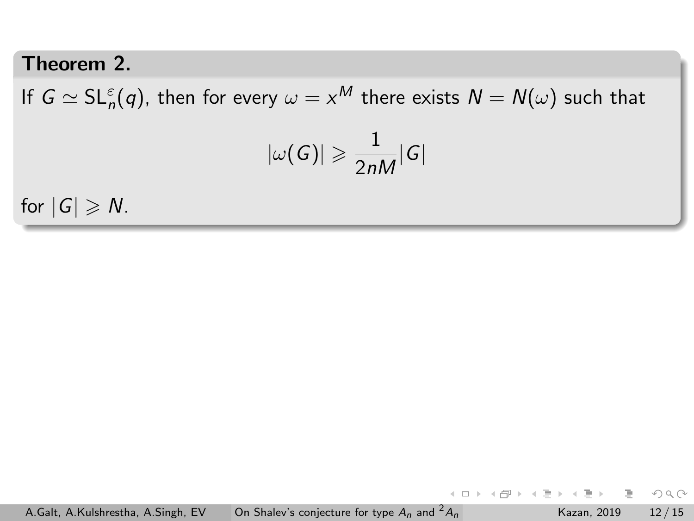## Theorem 2.

If  $G \simeq \mathsf{SL}_n^\varepsilon(q)$ , then for every  $\omega = \mathsf{x}^M$  there exists  $\mathsf{N} = \mathsf{N}(\omega)$  such that

$$
|\omega(G)| \geqslant \frac{1}{2nM}|G|
$$

for  $|G| \geq N$ .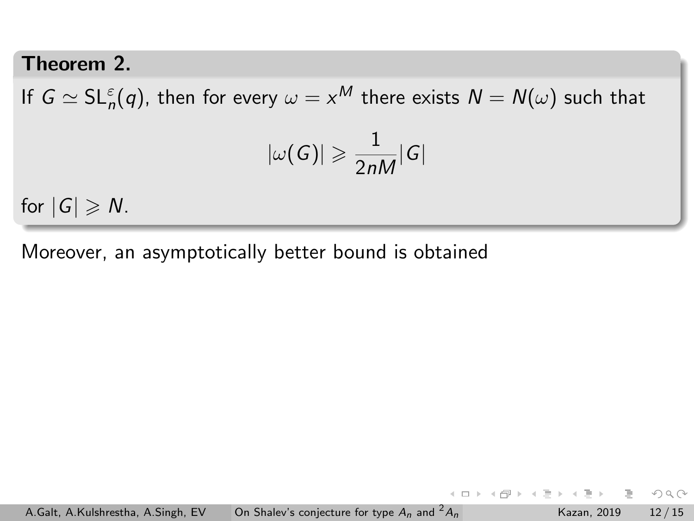#### Theorem 2.

If  $G \simeq \mathsf{SL}_n^\varepsilon(q)$ , then for every  $\omega = \mathsf{x}^M$  there exists  $\mathsf{N} = \mathsf{N}(\omega)$  such that

$$
|\omega(G)| \geqslant \frac{1}{2nM}|G|
$$

for  $|G| \geqslant N$ .

Moreover, an asymptotically better bound is obtained

イロト イ母ト イヨト イヨト

 $\equiv$   $\curvearrowleft$   $\curvearrowright$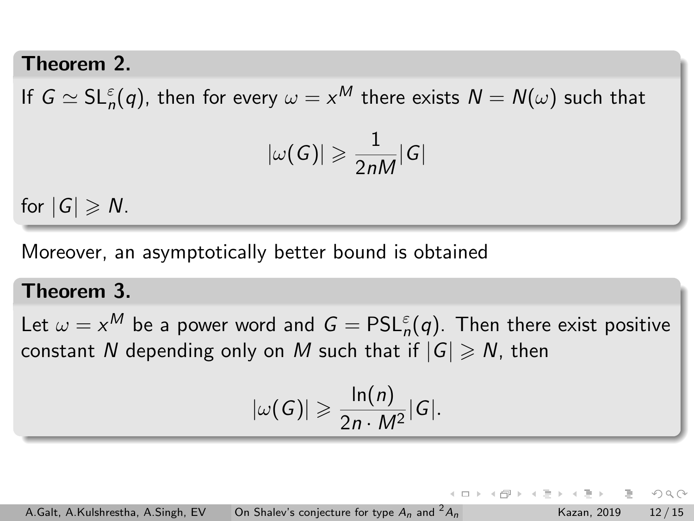#### Theorem 2.

If  $G \simeq \mathsf{SL}_n^\varepsilon(q)$ , then for every  $\omega = \mathsf{x}^M$  there exists  $\mathsf{N} = \mathsf{N}(\omega)$  such that

$$
|\omega(G)| \geqslant \frac{1}{2nM}|G|
$$

for  $|G| \geqslant N$ .

Moreover, an asymptotically better bound is obtained

#### Theorem 3.

Let  $\omega = \mathsf{x}^M$  be a power word and  $\mathsf{G} = \mathsf{PSL}_n^\varepsilon(q).$  Then there exist positive constant N depending only on M such that if  $|G| \geq N$ , then

$$
|\omega(G)| \geqslant \frac{\ln(n)}{2n \cdot M^2}|G|.
$$

A.Galt, A.Kulshrestha, A.Singh, EV [On Shalev's conjecture for type](#page-0-0)  $A_n$  and  ${}^2A_n$  Kazan, 2019 12/15

 $\equiv$  990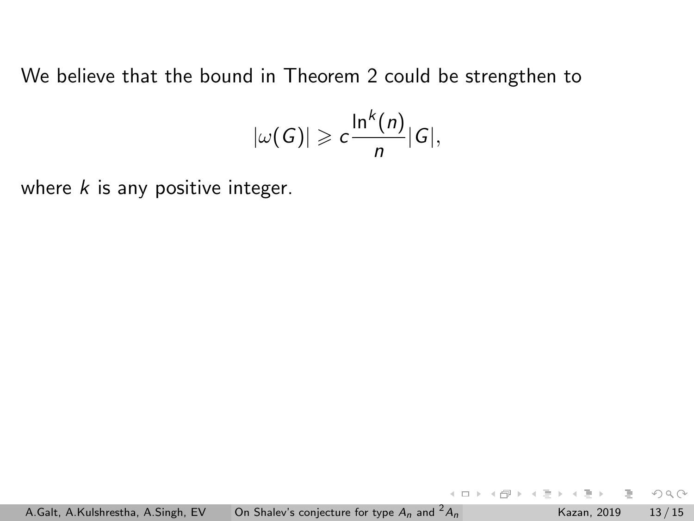$$
|\omega(G)| \geqslant c \frac{\ln^k(n)}{n} |G|,
$$

where  $k$  is any positive integer.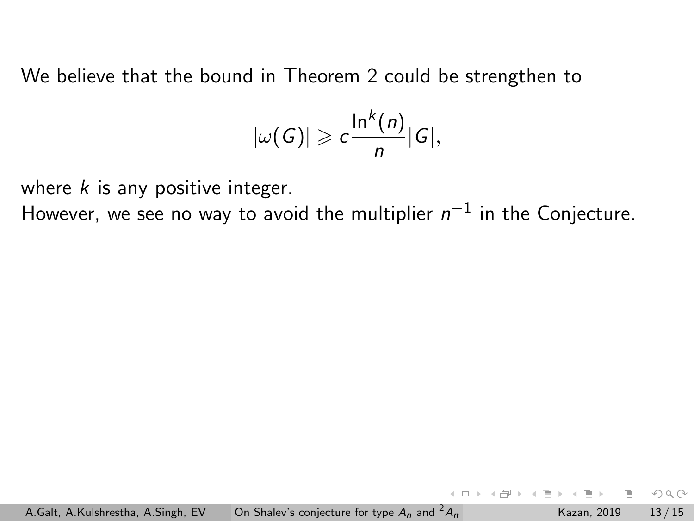$$
|\omega(G)| \geqslant c \frac{\ln^k(n)}{n} |G|,
$$

where  $k$  is any positive integer.

However, we see no way to avoid the multiplier  $\emph{n}^{-1}$  in the Conjecture.

 $OQ$ 

 $4$  ロ }  $4$  何 }  $4$  子 }  $4$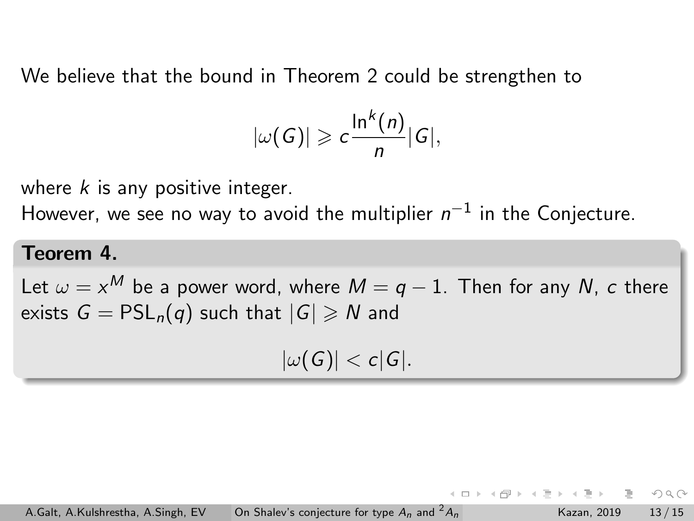$$
|\omega(G)| \geqslant c \frac{\ln^k(n)}{n} |G|,
$$

where  $k$  is any positive integer.

However, we see no way to avoid the multiplier  $\emph{n}^{-1}$  in the Conjecture.

#### Teorem 4.

Let  $\omega = \mathsf{x}^{\mathsf{M}}$  be a power word, where  $\mathsf{M} = \mathsf{q} - 1.$  Then for any  $\mathsf{N},$   $\mathsf{c}$  there exists  $G = PSL_n(q)$  such that  $|G| \geq N$  and

 $|\omega(G)| < c|G|$ .

A.Galt, A.Kulshrestha, A.Singh, EV [On Shalev's conjecture for type](#page-0-0)  $A_n$  and  ${}^2A_n$  Kazan, 2019 13/15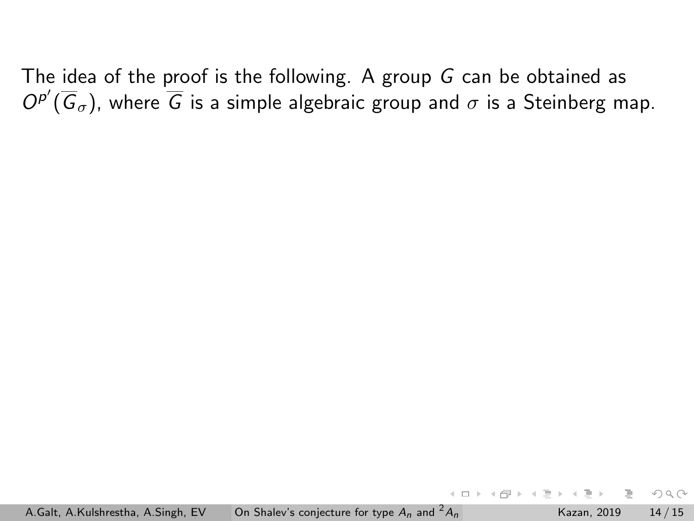The idea of the proof is the following. A group G can be obtained as  $O^{p'}(\overline{G}_{\sigma})$ , where  $\overline{G}$  is a simple algebraic group and  $\sigma$  is a Steinberg map.

←ロト ←何ト ←ヨト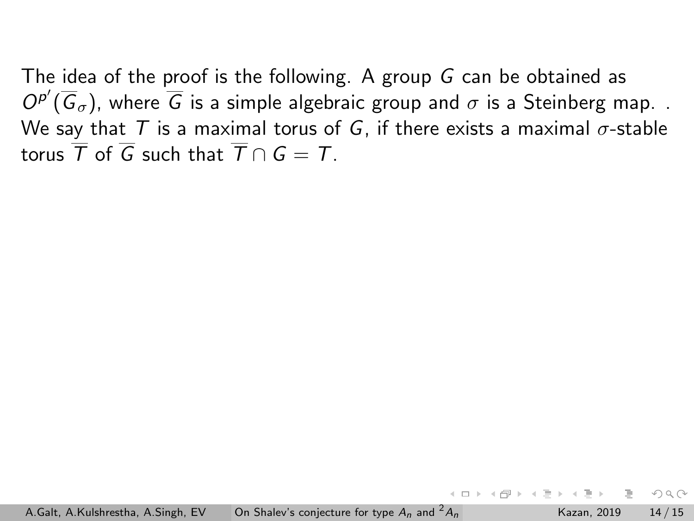The idea of the proof is the following. A group G can be obtained as  $O^{p'}(\overline{G}_{\sigma})$ , where  $\overline{G}$  is a simple algebraic group and  $\sigma$  is a Steinberg map. . We say that T is a maximal torus of G, if there exists a maximal  $\sigma$ -stable torus  $\overline{T}$  of  $\overline{G}$  such that  $\overline{T} \cap G = T$ .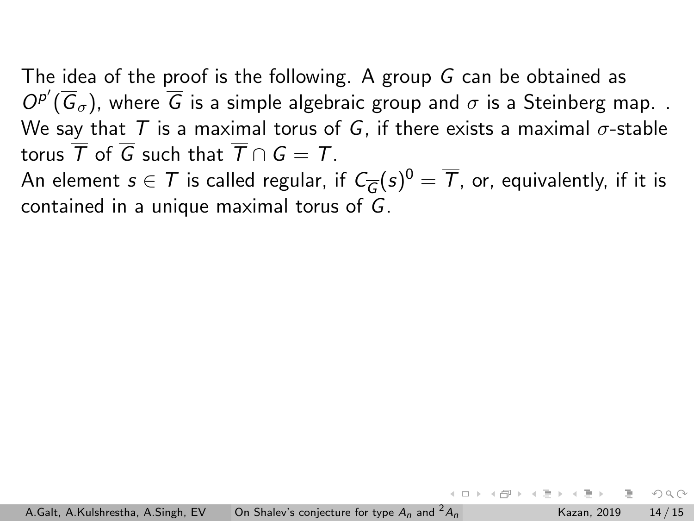The idea of the proof is the following. A group G can be obtained as  $O^{p'}(\overline{G}_{\sigma})$ , where  $\overline{G}$  is a simple algebraic group and  $\sigma$  is a Steinberg map. . We say that T is a maximal torus of G, if there exists a maximal  $\sigma$ -stable torus  $\overline{T}$  of  $\overline{G}$  such that  $\overline{T} \cap G = T$ .

An element  $s\in\mathcal{T}$  is called regular, if  $\mathcal{C}_{\overline{G}}(s)^0=\overline{\mathcal{T}}$ , or, equivalently, if it is contained in a unique maximal torus of G.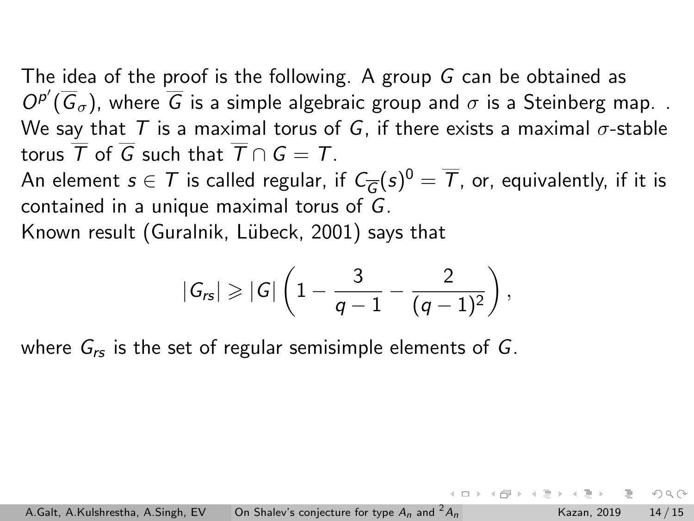The idea of the proof is the following. A group G can be obtained as  $O^{p'}(\overline{G}_{\sigma})$ , where  $\overline{G}$  is a simple algebraic group and  $\sigma$  is a Steinberg map. . We say that T is a maximal torus of G, if there exists a maximal  $\sigma$ -stable torus  $\overline{T}$  of  $\overline{G}$  such that  $\overline{T} \cap G = T$ . An element  $s\in\mathcal{T}$  is called regular, if  $\mathcal{C}_{\overline{G}}(s)^0=\overline{\mathcal{T}}$ , or, equivalently, if it is contained in a unique maximal torus of G.

Known result (Guralnik, Lübeck, 2001) says that

$$
|G_{rs}|\geqslant |G|\left(1-\frac{3}{q-1}-\frac{2}{(q-1)^2}\right),
$$

where  $G_{rs}$  is the set of regular semisimple elements of G.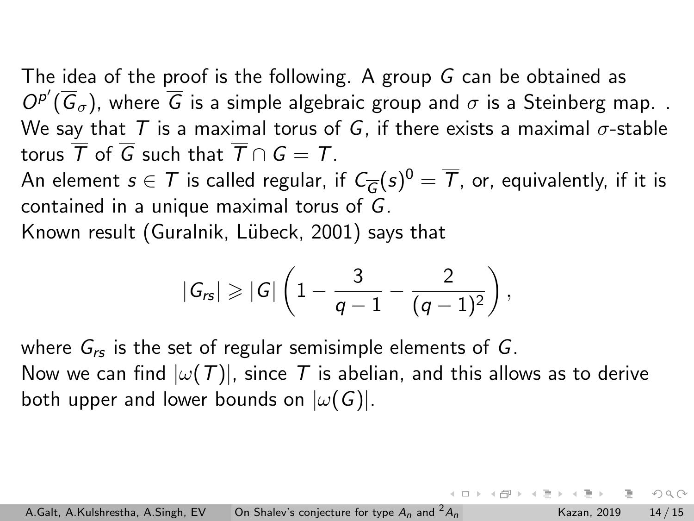The idea of the proof is the following. A group G can be obtained as  $O^{p'}(\overline{G}_{\sigma})$ , where  $\overline{G}$  is a simple algebraic group and  $\sigma$  is a Steinberg map. . We say that T is a maximal torus of G, if there exists a maximal  $\sigma$ -stable torus  $\overline{T}$  of  $\overline{G}$  such that  $\overline{T} \cap G = T$ . An element  $s\in\mathcal{T}$  is called regular, if  $\mathcal{C}_{\overline{G}}(s)^0=\overline{\mathcal{T}}$ , or, equivalently, if it is contained in a unique maximal torus of G.

Known result (Guralnik, Lübeck, 2001) says that

$$
\left|G_{rs}\right|\geqslant\left|G\right|\left(1-\frac{3}{q-1}-\frac{2}{(q-1)^{2}}\right),
$$

where  $G_{rs}$  is the set of regular semisimple elements of G. Now we can find  $|\omega(T)|$ , since T is abelian, and this allows as to derive both upper and lower bounds on  $|\omega(G)|$ .